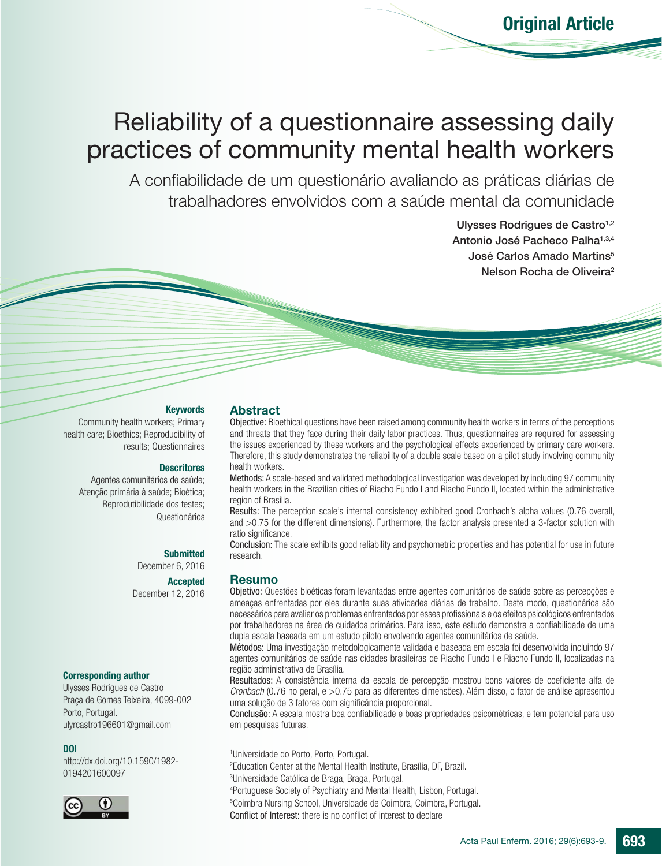# Reliability of a questionnaire assessing daily practices of community mental health workers

A confiabilidade de um questionário avaliando as práticas diárias de trabalhadores envolvidos com a saúde mental da comunidade

> Ulysses Rodrigues de Castro<sup>1,2</sup> Antonio José Pacheco Palha<sup>1,3,4</sup> José Carlos Amado Martins<sup>5</sup> Nelson Rocha de Oliveira<sup>2</sup>

#### **Keywords**

Community health workers; Primary health care; Bioethics; Reproducibility of results; Questionnaires

#### **Descritores**

Agentes comunitários de saúde; Atenção primária à saúde; Bioética; Reprodutibilidade dos testes; Questionários

#### **Submitted**

December 6, 2016

#### Accepted

December 12, 2016

#### Corresponding author

Ulysses Rodrigues de Castro Praça de Gomes Teixeira, 4099-002 Porto, Portugal. ulyrcastro196601@gmail.com

#### DOI

http://dx.doi.org/10.1590/1982- 0194201600097



## Abstract

Objective: Bioethical questions have been raised among community health workers in terms of the perceptions and threats that they face during their daily labor practices. Thus, questionnaires are required for assessing the issues experienced by these workers and the psychological effects experienced by primary care workers. Therefore, this study demonstrates the reliability of a double scale based on a pilot study involving community health workers.

Methods: A scale-based and validated methodological investigation was developed by including 97 community health workers in the Brazilian cities of Riacho Fundo I and Riacho Fundo II, located within the administrative region of Brasilia.

Results: The perception scale's internal consistency exhibited good Cronbach's alpha values (0.76 overall, and >0.75 for the different dimensions). Furthermore, the factor analysis presented a 3-factor solution with ratio significance.

Conclusion: The scale exhibits good reliability and psychometric properties and has potential for use in future research.

#### Resumo

Objetivo: Questões bioéticas foram levantadas entre agentes comunitários de saúde sobre as percepções e ameaças enfrentadas por eles durante suas atividades diárias de trabalho. Deste modo, questionários são necessários para avaliar os problemas enfrentados por esses profissionais e os efeitos psicológicos enfrentados por trabalhadores na área de cuidados primários. Para isso, este estudo demonstra a confiabilidade de uma dupla escala baseada em um estudo piloto envolvendo agentes comunitários de saúde.

Métodos: Uma investigação metodologicamente validada e baseada em escala foi desenvolvida incluindo 97 agentes comunitários de saúde nas cidades brasileiras de Riacho Fundo I e Riacho Fundo II, localizadas na região administrativa de Brasília.

Resultados: A consistência interna da escala de percepção mostrou bons valores de coeficiente alfa de *Cronbach* (0.76 no geral, e >0.75 para as diferentes dimensões). Além disso, o fator de análise apresentou uma solução de 3 fatores com significância proporcional.

Conclusão: A escala mostra boa confiabilidade e boas propriedades psicométricas, e tem potencial para uso em pesquisas futuras.

1 Universidade do Porto, Porto, Portugal. 2 Education Center at the Mental Health Institute, Brasília, DF, Brazil. 3 Universidade Católica de Braga, Braga, Portugal.

4 Portuguese Society of Psychiatry and Mental Health, Lisbon, Portugal. 5 Coimbra Nursing School, Universidade de Coimbra, Coimbra, Portugal. Conflict of Interest: there is no conflict of interest to declare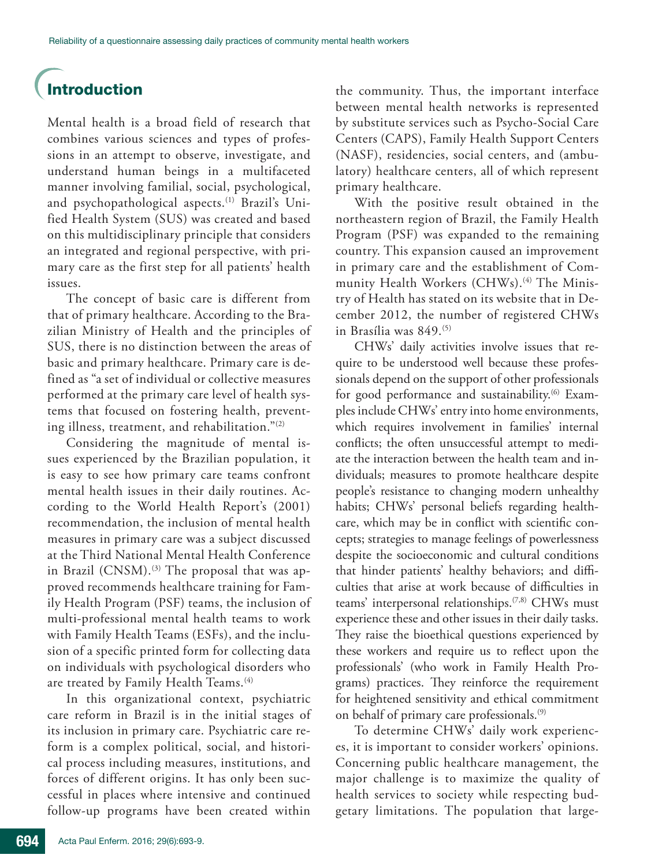## Introduction

Mental health is a broad field of research that combines various sciences and types of professions in an attempt to observe, investigate, and understand human beings in a multifaceted manner involving familial, social, psychological, and psychopathological aspects.<sup>(1)</sup> Brazil's Unified Health System (SUS) was created and based on this multidisciplinary principle that considers an integrated and regional perspective, with primary care as the first step for all patients' health issues.

The concept of basic care is different from that of primary healthcare. According to the Brazilian Ministry of Health and the principles of SUS, there is no distinction between the areas of basic and primary healthcare. Primary care is defined as "a set of individual or collective measures performed at the primary care level of health systems that focused on fostering health, preventing illness, treatment, and rehabilitation."(2)

Considering the magnitude of mental issues experienced by the Brazilian population, it is easy to see how primary care teams confront mental health issues in their daily routines. According to the World Health Report's (2001) recommendation, the inclusion of mental health measures in primary care was a subject discussed at the Third National Mental Health Conference in Brazil (CNSM).<sup>(3)</sup> The proposal that was approved recommends healthcare training for Family Health Program (PSF) teams, the inclusion of multi-professional mental health teams to work with Family Health Teams (ESFs), and the inclusion of a specific printed form for collecting data on individuals with psychological disorders who are treated by Family Health Teams.<sup>(4)</sup>

In this organizational context, psychiatric care reform in Brazil is in the initial stages of its inclusion in primary care. Psychiatric care reform is a complex political, social, and historical process including measures, institutions, and forces of different origins. It has only been successful in places where intensive and continued follow-up programs have been created within

the community. Thus, the important interface between mental health networks is represented by substitute services such as Psycho-Social Care Centers (CAPS), Family Health Support Centers (NASF), residencies, social centers, and (ambulatory) healthcare centers, all of which represent primary healthcare.

With the positive result obtained in the northeastern region of Brazil, the Family Health Program (PSF) was expanded to the remaining country. This expansion caused an improvement in primary care and the establishment of Community Health Workers (CHWs).<sup>(4)</sup> The Ministry of Health has stated on its website that in December 2012, the number of registered CHWs in Brasília was 849.<sup>(5)</sup>

CHWs' daily activities involve issues that require to be understood well because these professionals depend on the support of other professionals for good performance and sustainability.<sup>(6)</sup> Examples include CHWs' entry into home environments, which requires involvement in families' internal conflicts; the often unsuccessful attempt to mediate the interaction between the health team and individuals; measures to promote healthcare despite people's resistance to changing modern unhealthy habits; CHWs' personal beliefs regarding healthcare, which may be in conflict with scientific concepts; strategies to manage feelings of powerlessness despite the socioeconomic and cultural conditions that hinder patients' healthy behaviors; and difficulties that arise at work because of difficulties in teams' interpersonal relationships.<sup>(7,8)</sup> CHWs must experience these and other issues in their daily tasks. They raise the bioethical questions experienced by these workers and require us to reflect upon the professionals' (who work in Family Health Programs) practices. They reinforce the requirement for heightened sensitivity and ethical commitment on behalf of primary care professionals.(9)

To determine CHWs' daily work experiences, it is important to consider workers' opinions. Concerning public healthcare management, the major challenge is to maximize the quality of health services to society while respecting budgetary limitations. The population that large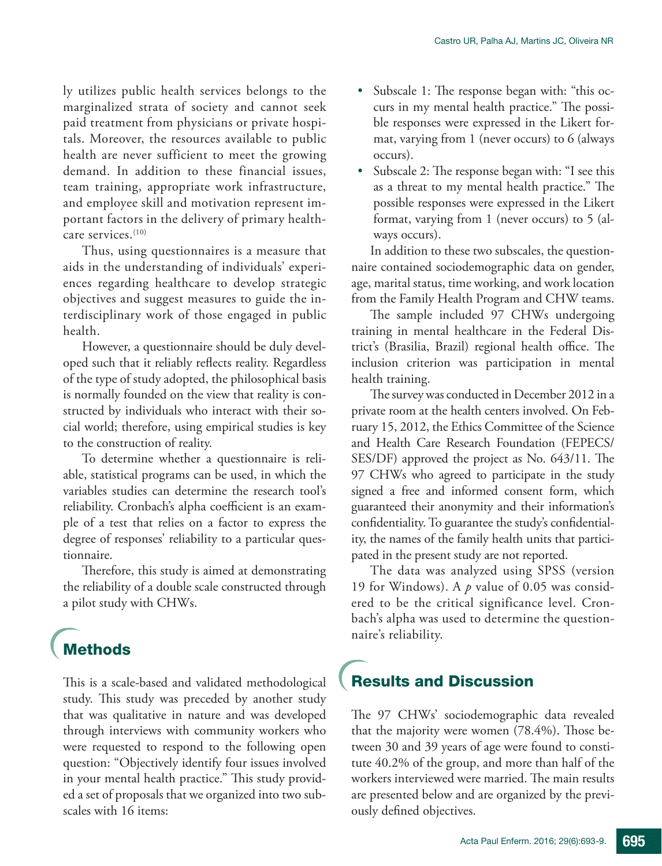ly utilizes public health services belongs to the marginalized strata of society and cannot seek paid treatment from physicians or private hospitals. Moreover, the resources available to public health are never sufficient to meet the growing demand. In addition to these financial issues, team training, appropriate work infrastructure, and employee skill and motivation represent important factors in the delivery of primary healthcare services.(10)

Thus, using questionnaires is a measure that aids in the understanding of individuals' experiences regarding healthcare to develop strategic objectives and suggest measures to guide the interdisciplinary work of those engaged in public health.

However, a questionnaire should be duly developed such that it reliably reflects reality. Regardless of the type of study adopted, the philosophical basis is normally founded on the view that reality is constructed by individuals who interact with their social world; therefore, using empirical studies is key to the construction of reality.

To determine whether a questionnaire is reliable, statistical programs can be used, in which the variables studies can determine the research tool's reliability. Cronbach's alpha coefficient is an example of a test that relies on a factor to express the degree of responses' reliability to a particular questionnaire.

Therefore, this study is aimed at demonstrating the reliability of a double scale constructed through a pilot study with CHWs.

## **Methods**

This is a scale-based and validated methodological study. This study was preceded by another study that was qualitative in nature and was developed through interviews with community workers who were requested to respond to the following open question: "Objectively identify four issues involved in your mental health practice." This study provided a set of proposals that we organized into two subscales with 16 items:

- • Subscale 1: The response began with: "this occurs in my mental health practice." The possible responses were expressed in the Likert format, varying from 1 (never occurs) to 6 (always occurs).
- Subscale 2: The response began with: "I see this as a threat to my mental health practice." The possible responses were expressed in the Likert format, varying from 1 (never occurs) to 5 (always occurs).

In addition to these two subscales, the questionnaire contained sociodemographic data on gender, age, marital status, time working, and work location from the Family Health Program and CHW teams.

The sample included 97 CHWs undergoing training in mental healthcare in the Federal District's (Brasilia, Brazil) regional health office. The inclusion criterion was participation in mental health training.

The survey was conducted in December 2012 in a private room at the health centers involved. On February 15, 2012, the Ethics Committee of the Science and Health Care Research Foundation (FEPECS/ SES/DF) approved the project as No. 643/11. The 97 CHWs who agreed to participate in the study signed a free and informed consent form, which guaranteed their anonymity and their information's confidentiality. To guarantee the study's confidentiality, the names of the family health units that participated in the present study are not reported.

The data was analyzed using SPSS (version 19 for Windows). A *p* value of 0.05 was considered to be the critical significance level. Cronbach's alpha was used to determine the questionnaire's reliability.

## Results and Discussion

The 97 CHWs' sociodemographic data revealed that the majority were women (78.4%). Those between 30 and 39 years of age were found to constitute 40.2% of the group, and more than half of the workers interviewed were married. The main results are presented below and are organized by the previously defined objectives.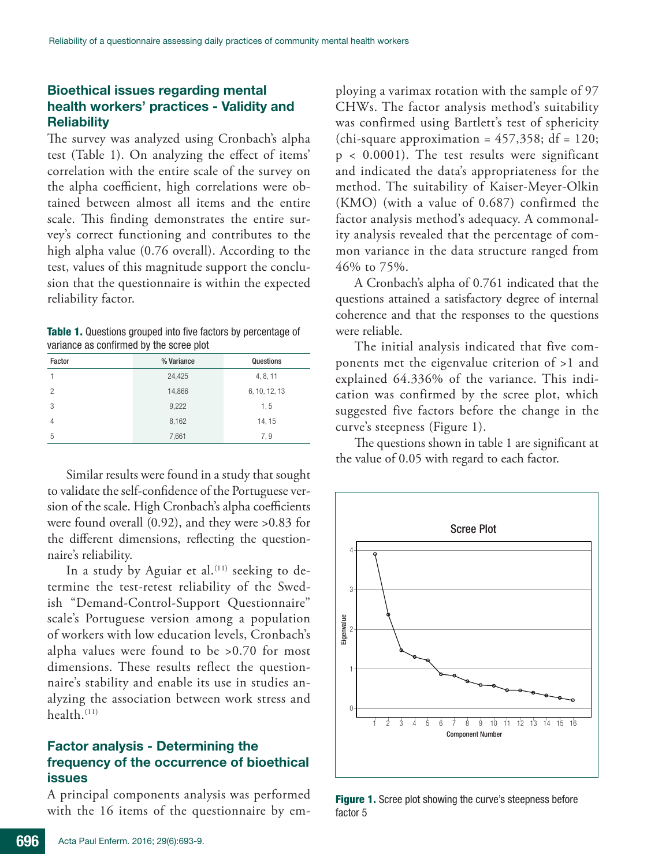### Bioethical issues regarding mental health workers' practices - Validity and **Reliability**

The survey was analyzed using Cronbach's alpha test (Table 1). On analyzing the effect of items' correlation with the entire scale of the survey on the alpha coefficient, high correlations were obtained between almost all items and the entire scale. This finding demonstrates the entire survey's correct functioning and contributes to the high alpha value (0.76 overall). According to the test, values of this magnitude support the conclusion that the questionnaire is within the expected reliability factor.

| <b>Table 1.</b> Questions grouped into five factors by percentage of |  |
|----------------------------------------------------------------------|--|
| variance as confirmed by the scree plot                              |  |

| Factor | % Variance | Questions     |  |  |
|--------|------------|---------------|--|--|
|        | 24,425     | 4, 8, 11      |  |  |
| 2      | 14,866     | 6, 10, 12, 13 |  |  |
| 3      | 9,222      | 1,5           |  |  |
| 4      | 8,162      | 14, 15        |  |  |
| 5      | 7,661      | 7,9           |  |  |

Similar results were found in a study that sought to validate the self-confidence of the Portuguese version of the scale. High Cronbach's alpha coefficients were found overall (0.92), and they were >0.83 for the different dimensions, reflecting the questionnaire's reliability.

In a study by Aguiar et al.<sup> $(11)$ </sup> seeking to determine the test-retest reliability of the Swedish "Demand-Control-Support Questionnaire" scale's Portuguese version among a population of workers with low education levels, Cronbach's alpha values were found to be >0.70 for most dimensions. These results reflect the questionnaire's stability and enable its use in studies analyzing the association between work stress and health.(11)

### Factor analysis - Determining the frequency of the occurrence of bioethical issues

A principal components analysis was performed with the 16 items of the questionnaire by employing a varimax rotation with the sample of 97 CHWs. The factor analysis method's suitability was confirmed using Bartlett's test of sphericity (chi-square approximation =  $457,358$ ; df = 120; p < 0.0001). The test results were significant and indicated the data's appropriateness for the method. The suitability of Kaiser-Meyer-Olkin (KMO) (with a value of 0.687) confirmed the factor analysis method's adequacy. A commonality analysis revealed that the percentage of common variance in the data structure ranged from 46% to 75%.

A Cronbach's alpha of 0.761 indicated that the questions attained a satisfactory degree of internal coherence and that the responses to the questions were reliable.

The initial analysis indicated that five components met the eigenvalue criterion of >1 and explained 64.336% of the variance. This indication was confirmed by the scree plot, which suggested five factors before the change in the curve's steepness (Figure 1).

The questions shown in table 1 are significant at the value of 0.05 with regard to each factor.



Figure 1. Scree plot showing the curve's steepness before factor 5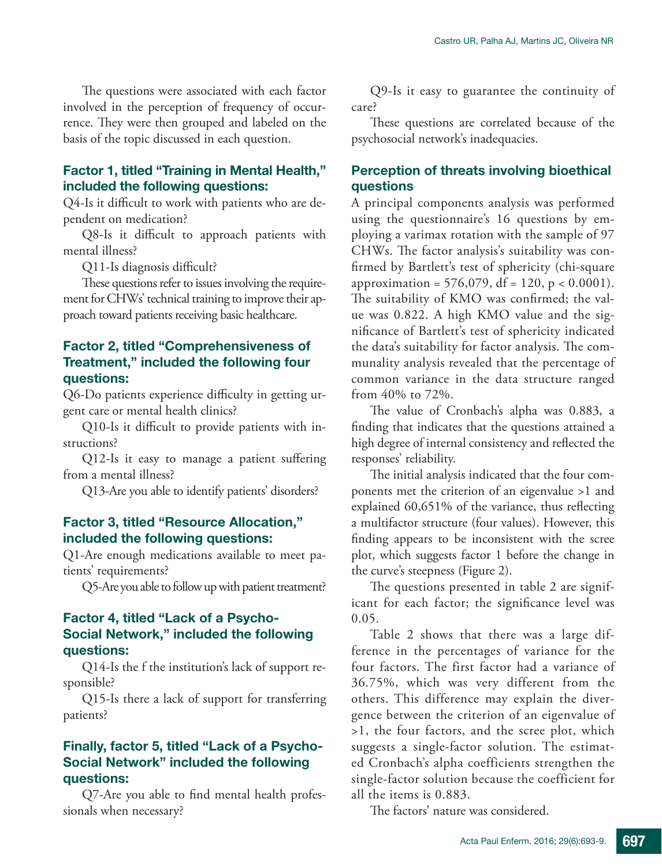The questions were associated with each factor involved in the perception of frequency of occurrence. They were then grouped and labeled on the basis of the topic discussed in each question.

### Factor 1, titled "Training in Mental Health," included the following questions:

Q4-Is it difficult to work with patients who are dependent on medication?

Q8-Is it difficult to approach patients with mental illness?

Q11-Is diagnosis difficult?

These questions refer to issues involving the requirement for CHWs' technical training to improve their approach toward patients receiving basic healthcare.

### Factor 2, titled "Comprehensiveness of Treatment," included the following four questions:

Q6-Do patients experience difficulty in getting urgent care or mental health clinics?

Q10-Is it difficult to provide patients with instructions?

Q12-Is it easy to manage a patient suffering from a mental illness?

Q13-Are you able to identify patients' disorders?

#### Factor 3, titled "Resource Allocation," included the following questions:

Q1-Are enough medications available to meet patients' requirements?

Q5-Are you able to follow up with patient treatment?

#### Factor 4, titled "Lack of a Psycho-Social Network," included the following questions:

Q14-Is the f the institution's lack of support responsible?

Q15-Is there a lack of support for transferring patients?

### Finally, factor 5, titled "Lack of a Psycho-Social Network" included the following questions:

Q7-Are you able to find mental health professionals when necessary?

Q9-Is it easy to guarantee the continuity of care?

These questions are correlated because of the psychosocial network's inadequacies.

## Perception of threats involving bioethical questions

A principal components analysis was performed using the questionnaire's 16 questions by employing a varimax rotation with the sample of 97 CHWs. The factor analysis's suitability was confirmed by Bartlett's test of sphericity (chi-square approximation =  $576,079$ , df = 120, p < 0.0001). The suitability of KMO was confirmed; the value was 0.822. A high KMO value and the significance of Bartlett's test of sphericity indicated the data's suitability for factor analysis. The communality analysis revealed that the percentage of common variance in the data structure ranged from 40% to 72%.

The value of Cronbach's alpha was 0.883, a finding that indicates that the questions attained a high degree of internal consistency and reflected the responses' reliability.

The initial analysis indicated that the four components met the criterion of an eigenvalue >1 and explained 60,651% of the variance, thus reflecting a multifactor structure (four values). However, this finding appears to be inconsistent with the scree plot, which suggests factor 1 before the change in the curve's steepness (Figure 2).

The questions presented in table 2 are significant for each factor; the significance level was 0.05.

Table 2 shows that there was a large difference in the percentages of variance for the four factors. The first factor had a variance of 36.75%, which was very different from the others. This difference may explain the divergence between the criterion of an eigenvalue of >1, the four factors, and the scree plot, which suggests a single-factor solution. The estimated Cronbach's alpha coefficients strengthen the single-factor solution because the coefficient for all the items is 0.883.

The factors' nature was considered.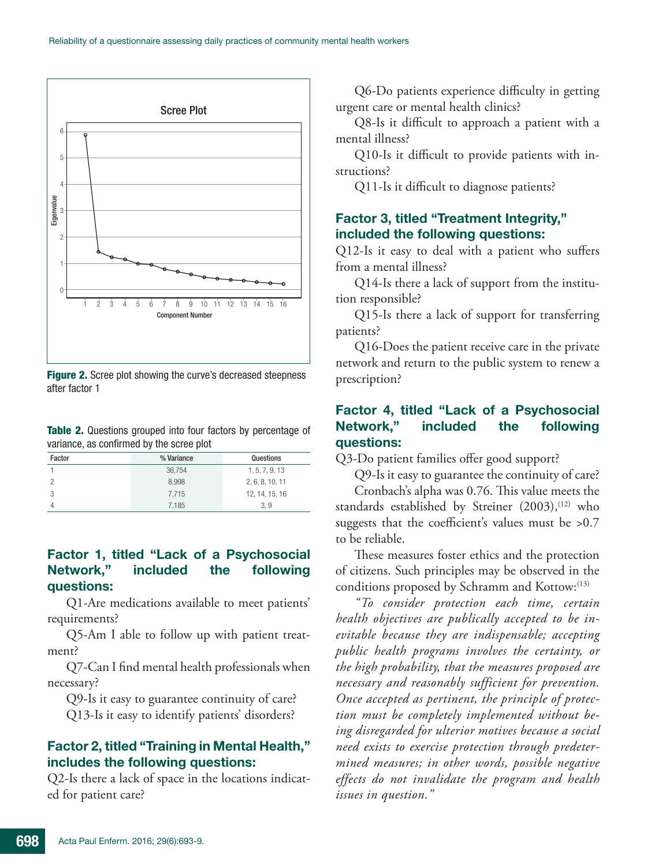

**Figure 2.** Scree plot showing the curve's decreased steepness after factor 1

Table 2. Questions grouped into four factors by percentage of variance, as confirmed by the scree plot

| Factor | % Variance | Questions       |
|--------|------------|-----------------|
|        | 36,754     | 1, 5, 7, 9, 13  |
|        | 8.998      | 2, 6, 8, 10, 11 |
|        | 7.715      | 12, 14, 15, 16  |
| Δ      | 7.185      | 3.9             |

### Factor 1, titled "Lack of a Psychosocial Network," included the following questions:

Q1-Are medications available to meet patients' requirements?

Q5-Am I able to follow up with patient treatment?

Q7-Can I find mental health professionals when necessary?

Q9-Is it easy to guarantee continuity of care? Q13-Is it easy to identify patients' disorders?

#### Factor 2, titled "Training in Mental Health," includes the following questions:

Q2-Is there a lack of space in the locations indicated for patient care?

Q6-Do patients experience difficulty in getting urgent care or mental health clinics?

Q8-Is it difficult to approach a patient with a mental illness?

Q10-Is it difficult to provide patients with instructions?

Q11-Is it difficult to diagnose patients?

## Factor 3, titled "Treatment Integrity," included the following questions:

Q12-Is it easy to deal with a patient who suffers from a mental illness?

Q14-Is there a lack of support from the institution responsible?

Q15-Is there a lack of support for transferring patients?

Q16-Does the patient receive care in the private network and return to the public system to renew a prescription?

## Factor 4, titled "Lack of a Psychosocial Network," included the following questions:

Q3-Do patient families offer good support?

Q9-Is it easy to guarantee the continuity of care?

Cronbach's alpha was 0.76. This value meets the standards established by Streiner (2003),<sup>(12)</sup> who suggests that the coefficient's values must be >0.7 to be reliable.

These measures foster ethics and the protection of citizens. Such principles may be observed in the conditions proposed by Schramm and Kottow:<sup>(13)</sup>

*"To consider protection each time, certain health objectives are publically accepted to be inevitable because they are indispensable; accepting public health programs involves the certainty, or the high probability, that the measures proposed are necessary and reasonably sufficient for prevention. Once accepted as pertinent, the principle of protection must be completely implemented without being disregarded for ulterior motives because a social need exists to exercise protection through predetermined measures; in other words, possible negative effects do not invalidate the program and health issues in question."*